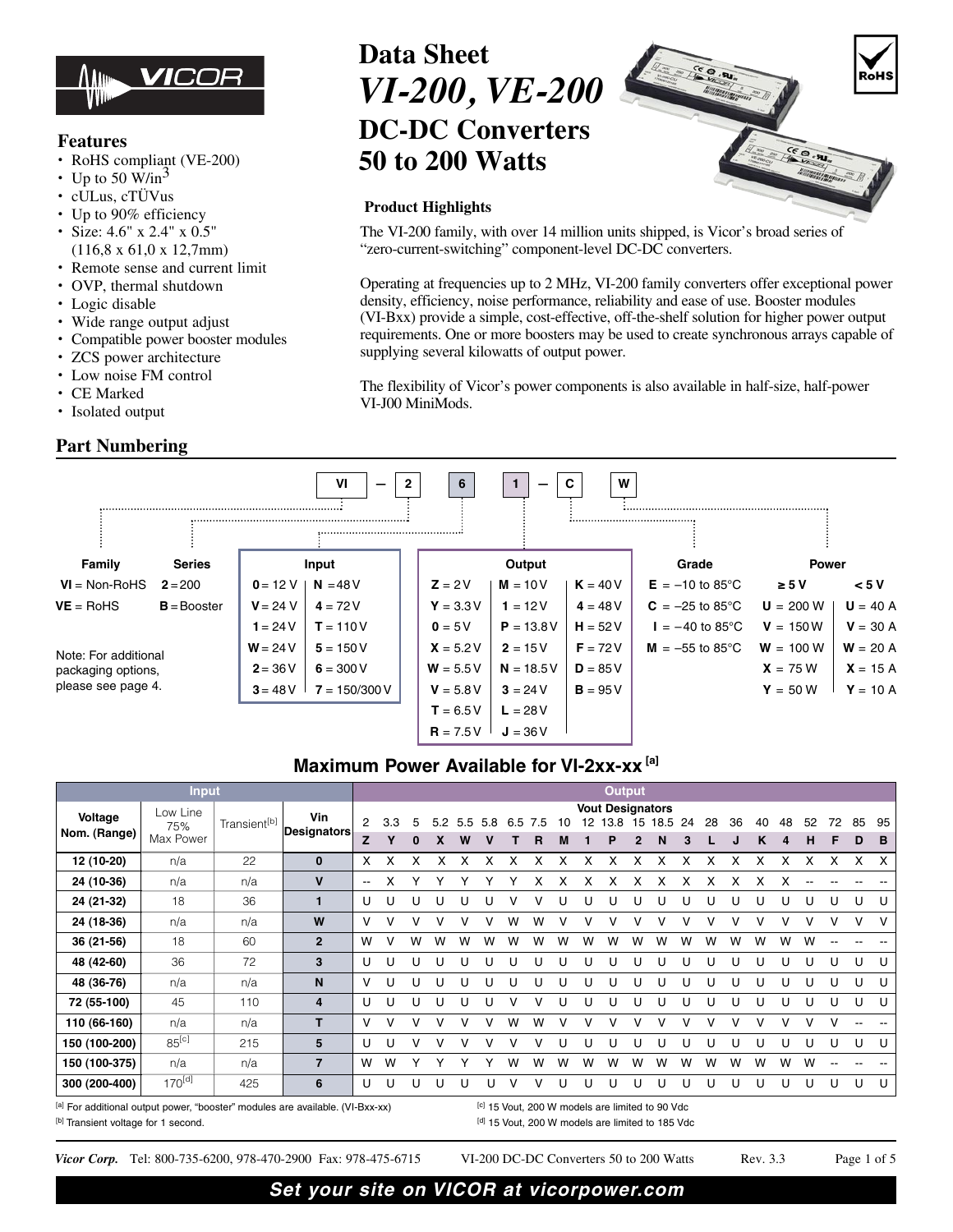

### **Features**

- **•** RoHS compliant (VE-200)
- Up to 50 W/in<sup>3</sup>
- **•** cULus, cTÜVus
- **•** Up to 90% efficiency
- **•** Size: 4.6" x 2.4" x 0.5" (116,8 x 61,0 x 12,7mm)
- **•** Remote sense and current limit
- **•** OVP, thermal shutdown
- **•** Logic disable
- **•** Wide range output adjust
- **•** Compatible power booster modules
- **•** ZCS power architecture
- **•** Low noise FM control
- **•** CE Marked
- **•** Isolated output

### **Part Numbering**



#### **Product Highlights**

The VI-200 family, with over 14 million units shipped, is Vicor's broad series of "zero-current-switching" component-level DC-DC converters.

Operating at frequencies up to 2 MHz, VI-200 family converters offer exceptional power density, efficiency, noise performance, reliability and ease of use. Booster modules (VI-Bxx) provide a simple, cost-effective, off-the-shelf solution for higher power output requirements. One or more boosters may be used to create synchronous arrays capable of supplying several kilowatts of output power.

The flexibility of Vicor's power components is also available in half-size, half-power VI-J00 MiniMods.



### **Maximum Power Available for VI-2xx-xx [a]**

|                         | <b>Input</b>                                                                                                                                |                          |                           | <b>Output</b>            |     |               |     |          |     |     |          |         |    |                                      |    |           |          |    |    |         |         |         |         |         |         |
|-------------------------|---------------------------------------------------------------------------------------------------------------------------------------------|--------------------------|---------------------------|--------------------------|-----|---------------|-----|----------|-----|-----|----------|---------|----|--------------------------------------|----|-----------|----------|----|----|---------|---------|---------|---------|---------|---------|
| Voltage<br>Nom. (Range) | Low Line<br>75%<br>Max Power                                                                                                                | Transient <sup>[b]</sup> | Vin<br><b>Designators</b> | 2<br>z                   | 3.3 | 5<br>$\bf{0}$ | 5.2 | 5.5<br>W | 5.8 | 6.5 | 7.5<br>R | 10<br>м | 12 | <b>Vout Designators</b><br>13.8<br>Р | 15 | 18.5<br>N | -24<br>3 | 28 | 36 | 40<br>κ | 48<br>4 | 52<br>н | 72<br>F | 85<br>D | 95<br>B |
| 12 (10-20)              | n/a                                                                                                                                         | 22                       | $\bf{0}$                  | X                        | x   | x             |     |          |     |     | x        | x       |    | x                                    | х  |           |          |    |    |         |         |         |         | x       | X       |
| 24 (10-36)              | n/a                                                                                                                                         | n/a                      | $\mathbf v$               | $\overline{\phantom{a}}$ | x   | Υ             | ٧   |          |     |     | x        | x       | x  | x                                    | х  | x         | x        | x  | x  | х       |         |         |         |         |         |
| 24 (21-32)              | 18                                                                                                                                          | 36                       | $\mathbf 1$               | U                        | U   | U             | U   |          |     |     |          |         |    |                                      |    |           | U        |    |    |         |         | U       | U       | U       | U       |
| 24 (18-36)              | n/a                                                                                                                                         | n/a                      | W                         | v                        | v   |               |     |          |     | w   | w        |         |    | V                                    |    |           |          |    |    |         |         | v       |         | v       | $\vee$  |
| 36 (21-56)              | 18                                                                                                                                          | 60                       | $\mathbf{2}$              | W                        | v   | W             | w   | w        | W   | w   | w        | W       | W  | W                                    | w  | w         | W        | w  | w  | w       | W       | W       |         |         |         |
| 48 (42-60)              | 36                                                                                                                                          | 72                       | 3                         | U                        | U   | U             | U   | U        | U   | U   | U        | U       |    | U                                    |    |           | U        |    |    | L       |         | U       | U       | U       | U       |
| 48 (36-76)              | n/a                                                                                                                                         | n/a                      | N                         | v                        | U   | U             | U   |          | U   | U   | U        | U       |    | U                                    |    |           | U        |    |    | U       |         | U       | U       | U       | U       |
| 72 (55-100)             | 45                                                                                                                                          | 110                      | 4                         | U                        | U   | U             | U   | U        | U   |     |          | U       |    | U                                    |    |           | U        | U  | U  | U       |         | U       | U       | U       | U       |
| 110 (66-160)            | n/a                                                                                                                                         | n/a                      | T                         | v                        | v   | v             | v   |          |     | W   | w        |         |    |                                      | v  |           |          | v  | v  | v       |         | v       |         |         |         |
| 150 (100-200)           | $85^{[c]}$                                                                                                                                  | 215                      | 5                         | U                        | U   | v             | v   |          |     |     |          | U       |    |                                      |    |           | U        |    |    |         |         | U       |         | U       | U       |
| 150 (100-375)           | n/a                                                                                                                                         | n/a                      | $\overline{7}$            | W                        | W   |               |     |          |     | W   | w        | W       | W  | W                                    | W  | w         | W        | w  | w  | w       | W       | w       |         |         |         |
| 300 (200-400)           | $170^{[d]}$                                                                                                                                 | 425                      | 6                         | U                        | U   | U             | U   | U        | U   | v   | v        | U       | U  | U                                    | U  | U         | U        | U  | U  | U       | U       | U       | U       | U       | U       |
|                         | [a] For additional output power, "booster" modules are available. (VI-Bxx-xx)<br><sup>[c]</sup> 15 Vout, 200 W models are limited to 90 Vdc |                          |                           |                          |     |               |     |          |     |     |          |         |    |                                      |    |           |          |    |    |         |         |         |         |         |         |

[b] Transient voltage for 1 second. The condensity of the control of the condensity of the condensity of the condensity of the condensity of the condensity of the condensity of the condensity of the condensity of the conde

*Vicor Corp.* Tel: 800-735-6200, 978-470-2900 Fax: 978-475-6715 VI-200 DC-DC Converters 50 to 200 Watts Rev. 3.3 Page 1 of 5

RoH!

 $(8.9)$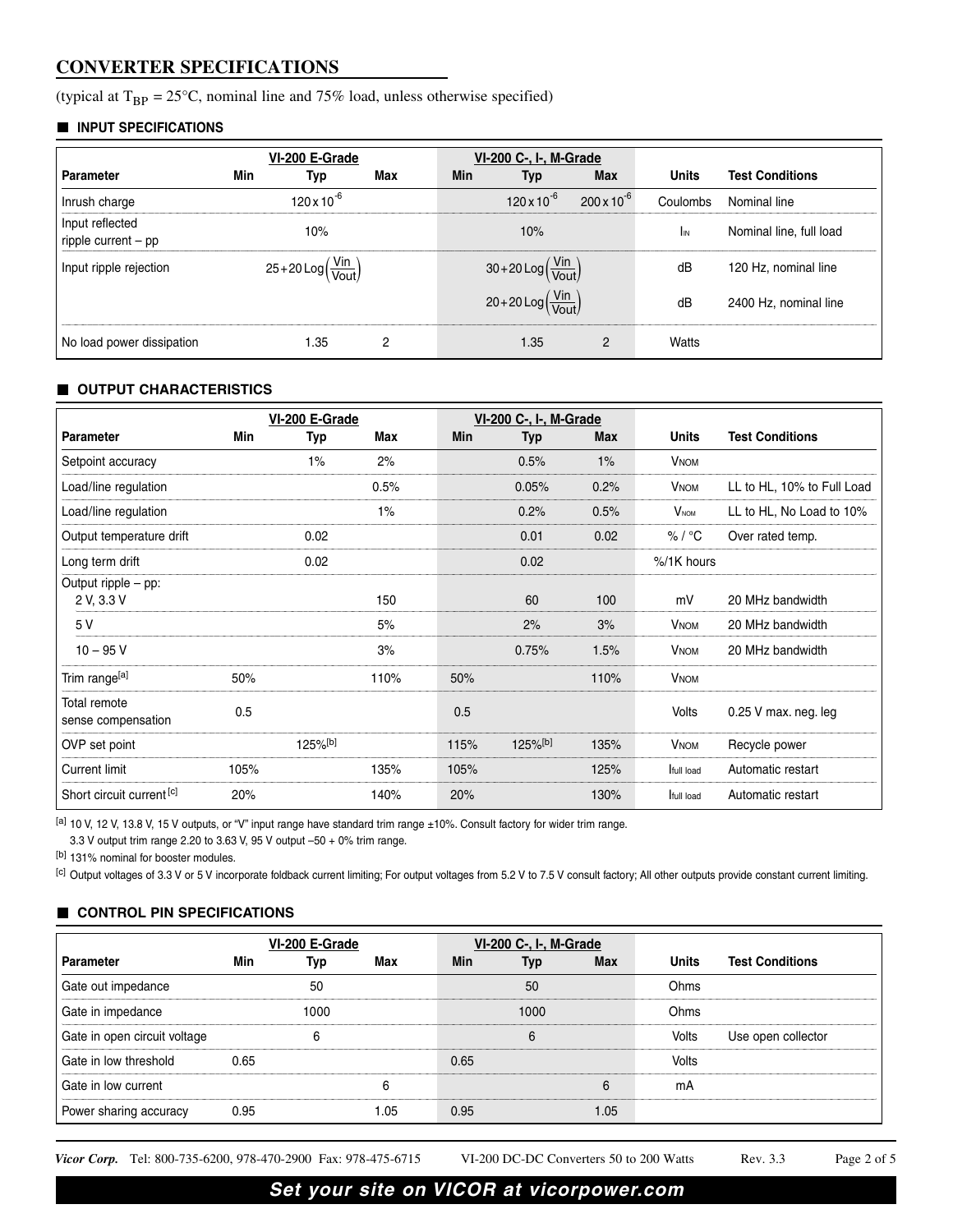## **CONVERTER SPECIFICATIONS**

(typical at  $T_{BP} = 25^{\circ}C$ , nominal line and 75% load, unless otherwise specified)

#### **INPUT SPECIFICATIONS**

|                                          |                                                                | VI-200 E-Grade       |     |     | VI-200 C-, I-, M-Grade                                        |                      |              |                         |
|------------------------------------------|----------------------------------------------------------------|----------------------|-----|-----|---------------------------------------------------------------|----------------------|--------------|-------------------------|
| Parameter                                | Min                                                            | Typ                  | Max | Min | Typ                                                           | <b>Max</b>           | <b>Units</b> | <b>Test Conditions</b>  |
| Inrush charge                            |                                                                | $120 \times 10^{-6}$ |     |     | $120 \times 10^{-6}$                                          | $200 \times 10^{-6}$ | Coulombs     | Nominal line            |
| Input reflected<br>ripple current $-$ pp |                                                                | 10%                  |     |     | 10%                                                           |                      | <b>I</b> IN  | Nominal line, full load |
| Input ripple rejection                   | $25+20 \text{Log} \left(\frac{\text{Vin}}{\text{Vout}}\right)$ |                      |     |     | $30+20 \text{Log}\left(\frac{\text{Vin}}{\text{Vout}}\right)$ |                      | dB           | 120 Hz, nominal line    |
|                                          |                                                                |                      |     |     | $20+20 \text{Log}(\frac{\text{Vin}}{\text{Vout}})$            |                      | dB           | 2400 Hz, nominal line   |
| No load power dissipation                |                                                                | 1.35                 | 2   |     | 1.35                                                          | 2                    | Watts        |                         |

### **OUTPUT CHARACTERISTICS**

|                                    |      | VI-200 E-Grade<br><b>VI-200 C-, I-, M-Grade</b> |       |      |                        |            |                        |                            |
|------------------------------------|------|-------------------------------------------------|-------|------|------------------------|------------|------------------------|----------------------------|
| <b>Parameter</b>                   | Min  | Typ                                             | Max   | Min  | <b>Typ</b>             | <b>Max</b> | <b>Units</b>           | <b>Test Conditions</b>     |
| Setpoint accuracy                  |      | $1\%$                                           | 2%    |      | 0.5%                   | 1%         | <b>V<sub>NOM</sub></b> |                            |
| Load/line regulation               |      |                                                 | 0.5%  |      | 0.05%                  | 0.2%       | <b>VNOM</b>            | LL to HL, 10% to Full Load |
| Load/line regulation               |      |                                                 | $1\%$ |      | 0.2%                   | 0.5%       | $V_{\text{NOM}}$       | LL to HL, No Load to 10%   |
| Output temperature drift           |      | 0.02                                            |       |      | 0.01                   | 0.02       | % / °C                 | Over rated temp.           |
| Long term drift                    |      | 0.02                                            |       |      | 0.02                   |            | %/1K hours             |                            |
| Output ripple - pp:<br>2 V, 3.3 V  |      |                                                 | 150   |      | 60                     | 100        | mV                     | 20 MHz bandwidth           |
| 5 V                                |      |                                                 | 5%    |      | 2%                     | 3%         | <b>V<sub>NOM</sub></b> | 20 MHz bandwidth           |
| $10 - 95$ V                        |      |                                                 | 3%    |      | 0.75%                  | 1.5%       | <b>VNOM</b>            | 20 MHz bandwidth           |
| Trim range <sup>[a]</sup>          | 50%  |                                                 | 110%  | 50%  |                        | 110%       | <b>V<sub>NOM</sub></b> |                            |
| Total remote<br>sense compensation | 0.5  |                                                 |       | 0.5  |                        |            | Volts                  | $0.25$ V max. neg. leg     |
| OVP set point                      |      | $125\%$ <sup>[b]</sup>                          |       | 115% | $125\%$ <sup>[b]</sup> | 135%       | <b>VNOM</b>            | Recycle power              |
| <b>Current limit</b>               | 105% |                                                 | 135%  | 105% |                        | 125%       | full load              | Automatic restart          |
| Short circuit current [c]          | 20%  |                                                 | 140%  | 20%  |                        | 130%       | full load              | Automatic restart          |

 $[$ a] 10 V, 12 V, 13.8 V, 15 V outputs, or "V" input range have standard trim range ±10%. Consult factory for wider trim range.

3.3 V output trim range 2.20 to 3.63 V, 95 V output –50 + 0% trim range.

[b] 131% nominal for booster modules.

[c] Output voltages of 3.3 V or 5 V incorporate foldback current limiting; For output voltages from 5.2 V to 7.5 V consult factory; All other outputs provide constant current limiting.

### **CONTROL PIN SPECIFICATIONS**

|                              |      | VI-200 E-Grade |      |            | VI-200 C-, I-, M-Grade |      |              |                        |
|------------------------------|------|----------------|------|------------|------------------------|------|--------------|------------------------|
| <b>Parameter</b>             | Min  | Typ            | Max  | <b>Min</b> | Typ                    | Max  | <b>Units</b> | <b>Test Conditions</b> |
| Gate out impedance           |      | 50             |      |            | 50                     |      | Ohms         |                        |
| Gate in impedance            |      | 1000           |      |            | 1000                   |      | Ohms         |                        |
| Gate in open circuit voltage |      | 6              |      |            | 6                      |      | Volts        | Use open collector     |
| Gate in low threshold        | 0.65 |                |      | 0.65       |                        |      | Volts        |                        |
| Gate in low current          |      |                | 6    |            |                        | 6    | mA           |                        |
| Power sharing accuracy       | 0.95 |                | 1.05 | 0.95       |                        | 1.05 |              |                        |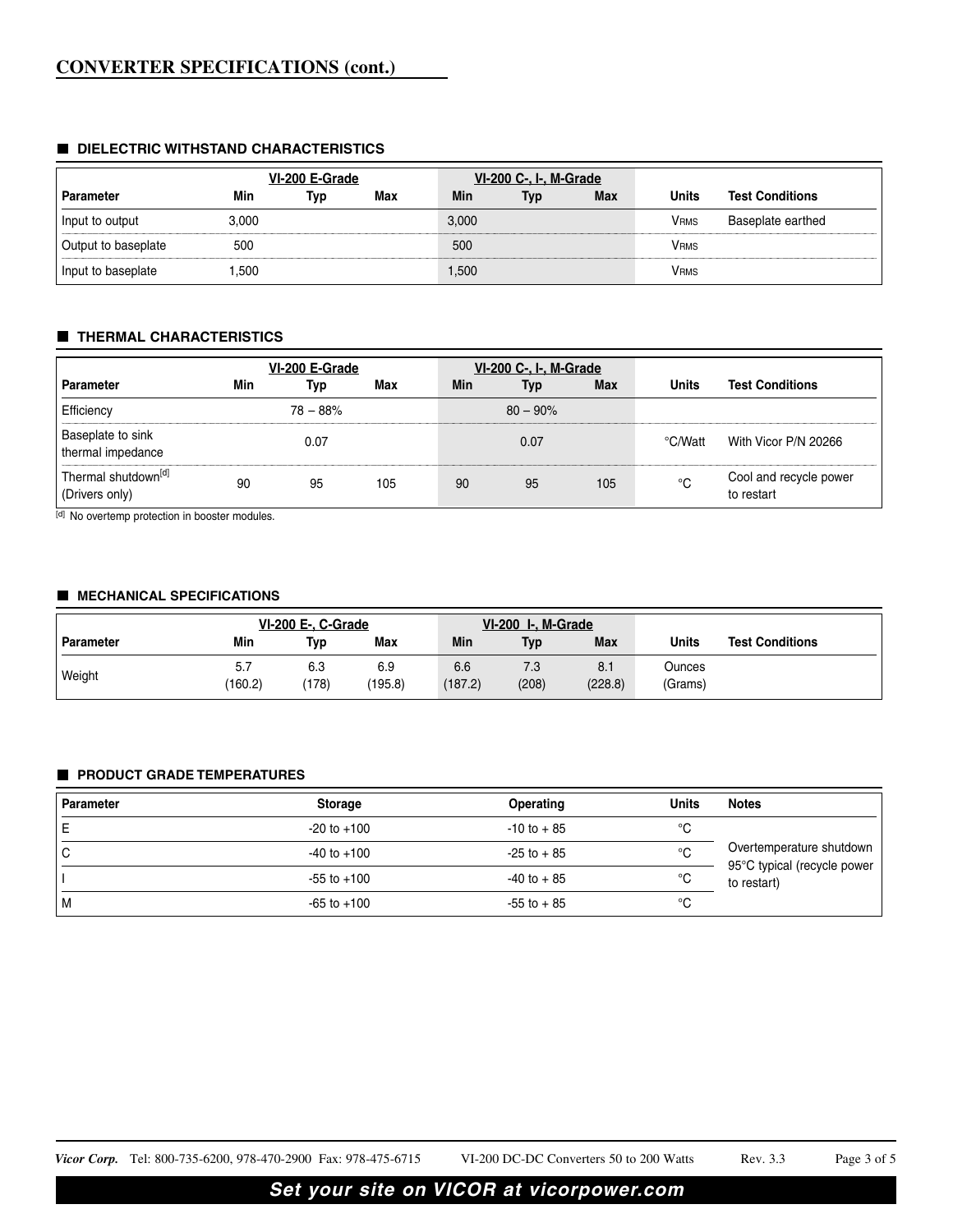#### **DIELECTRIC WITHSTAND CHARACTERISTICS**

|                     |       | VI-200 E-Grade |     |       | VI-200 C-, I-, M-Grade |            |              |                        |
|---------------------|-------|----------------|-----|-------|------------------------|------------|--------------|------------------------|
| Parameter           | Min   | Typ            | Max | Min   | Typ                    | <b>Max</b> | <b>Units</b> | <b>Test Conditions</b> |
| Input to output     | 3.000 |                |     | 3,000 |                        |            | VRMS         | Baseplate earthed      |
| Output to baseplate | 500   |                |     | 500   |                        |            | <b>VRMS</b>  |                        |
| Input to baseplate  | .500  |                |     | 1,500 |                        |            | <b>VRMS</b>  |                        |

#### **THERMAL CHARACTERISTICS**

|                                                   |     | VI-200 E-Grade |     |     | <b>VI-200 C-, I-, M-Grade</b> |            |              |                                      |
|---------------------------------------------------|-----|----------------|-----|-----|-------------------------------|------------|--------------|--------------------------------------|
| <b>Parameter</b>                                  | Min | Typ            | Max | Min | Typ                           | <b>Max</b> | <b>Units</b> | <b>Test Conditions</b>               |
| Efficiency                                        |     | $78 - 88%$     |     |     | $80 - 90\%$                   |            |              |                                      |
| Baseplate to sink<br>thermal impedance            |     | 0.07           |     |     | 0.07                          |            | °C/Watt      | With Vicor P/N 20266                 |
| Thermal shutdown <sup>[d]</sup><br>(Drivers only) | 90  | 95             | 105 | 90  | 95                            | 105        | °C           | Cool and recycle power<br>to restart |

[d] No overtemp protection in booster modules.

#### **MECHANICAL SPECIFICATIONS**

|           | <b>VI-200 E-, C-Grade</b> |              |                |                | VI-200 I-, M-Grade |                |                   |                        |
|-----------|---------------------------|--------------|----------------|----------------|--------------------|----------------|-------------------|------------------------|
| Parameter | Min                       | Typ          | Max            | Min            | <b>Typ</b>         | Max            | Units             | <b>Test Conditions</b> |
| Weight    | 5.7<br>(160.2)            | 6.3<br>(178) | 6.9<br>(195.8) | 6.6<br>(187.2) | 7.3<br>(208)       | 8.1<br>(228.8) | Ounces<br>(Grams) |                        |

#### **PRODUCT GRADE TEMPERATURES**

| <b>Parameter</b> | <b>Storage</b>  | Operating      | <b>Units</b> | <b>Notes</b>                               |
|------------------|-----------------|----------------|--------------|--------------------------------------------|
|                  | $-20$ to $+100$ | $-10$ to $+85$ | °C           |                                            |
| ◡                | $-40$ to $+100$ | $-25$ to $+85$ | °C           | Overtemperature shutdown                   |
|                  | $-55$ to $+100$ | $-40$ to $+85$ | °C           | 95°C typical (recycle power<br>to restart) |
| M                | $-65$ to $+100$ | $-55$ to $+85$ | °C           |                                            |

*Vicor Corp.* Tel: 800-735-6200, 978-470-2900 Fax: 978-475-6715 VI-200 DC-DC Converters 50 to 200 Watts Rev. 3.3 Page 3 of 5

# **Set your site on VICOR at vicorpower.com**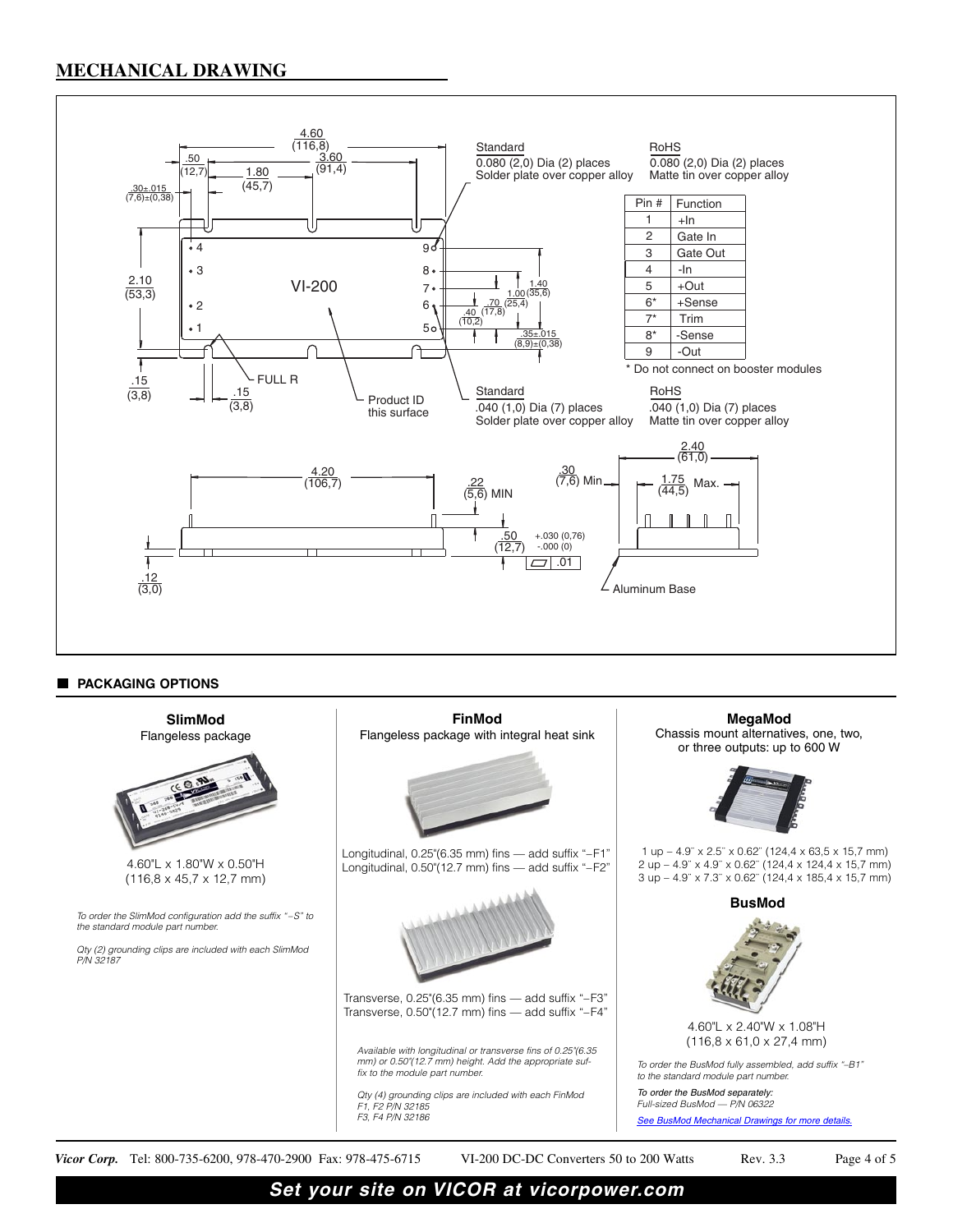### **MECHANICAL DRAWING**



#### **PACKAGING OPTIONS**



**Set your site on VICOR at vicorpower.com**